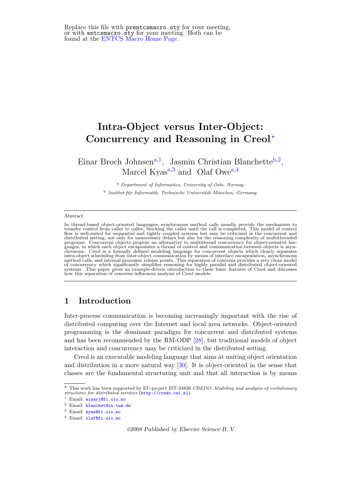# **Intra-Object versus Inter-Object: Concurrency and Reasoning in Creol** *[?](#page-0-0)*

<span id="page-0-1"></span><span id="page-0-0"></span>Ein[a](#page-0-1)r Broch Johnsen<sup>a,[1](#page-0-0)</sup>, Jasmin Christian Blanchette<sup>[b](#page-0-2),[2](#page-0-0)</sup>, Marcel Kyas[a](#page-0-1)*,*[3](#page-0-0) and Olaf Owe[a](#page-0-1)*,*[4](#page-0-0)

> <sup>a</sup> *Department of Informatics, University of Oslo, Norway* <sup>b</sup> *Institut für Informatik, Technische Universität München, Germany*

#### <span id="page-0-2"></span>Abstract

In thread-based object-oriented languages, synchronous method calls usually provide the mechanism to<br>transfer control from caller to callee, blocking the caller until the call is completed. This model of control<br>flow is w method calls, and internal processor release points. This separation of concerns provides a very clean model<br>of concurrency which significantly simplifies reasoning for highly parallel and distributed object-oriented<br>syste

## **1 Introduction**

Inter-process communication is becoming increasingly important with the rise of distributed computing over the Internet and local area networks. Object-oriented programming is the dominant paradigm for concurrent and distributed systems and has been recommended by the RM-ODP [\[28\]](#page-13-0), but traditional models of object interaction and concurrency may be criticized in the distributed setting.

Creol is an executable modeling language that aims at uniting object orientation and distribution in a more natural way [\[30\]](#page-13-1). It is object-oriented in the sense that classes are the fundamental structuring unit and that all interaction is by means

©2008 Published by Elsevier Science B. V.

*<sup>?</sup>* This work has been supported by EU-project IST-33826 *CREDO: Modeling and analysis of evolutionary structures for distributed services* (<http://credo.cwi.nl>).

<sup>1</sup> Email: [einarj@fi.uio.no](mailto:einarj@ifi.uio.no)

<sup>2</sup> Email: [blanchet@in.tum.de](mailto:blanchet@in.tum.de)

<sup>3</sup> Email: [kyas@fi.uio.no](mailto:kyas@ifi.uio.no)

<sup>4</sup> Email: [olaf@fi.uio.no](mailto:olaf@ifi.uio.no)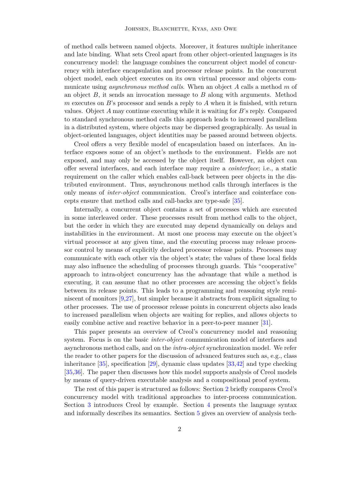of method calls between named objects. Moreover, it features multiple inheritance and late binding. What sets Creol apart from other object-oriented languages is its concurrency model: the language combines the concurrent object model of concurrency with interface encapsulation and processor release points. In the concurrent object model, each object executes on its own virtual processor and objects communicate using *asynchronous method calls*. When an object *A* calls a method *m* of an object *B*, it sends an invocation message to *B* along with arguments. Method *m* executes on *B*'s processor and sends a reply to *A* when it is finished, with return values. Object *A* may continue executing while it is waiting for *B*'s reply. Compared to standard synchronous method calls this approach leads to increased parallelism in a distributed system, where objects may be dispersed geographically. As usual in object-oriented languages, object identities may be passed around between objects.

Creol offers a very flexible model of encapsulation based on interfaces. An interface exposes some of an object's methods to the environment. Fields are not exposed, and may only be accessed by the object itself. However, an object can offer several interfaces, and each interface may require a *cointerface*; i.e., a static requirement on the caller which enables call-back between peer objects in the distributed environment. Thus, asynchronous method calls through interfaces is the only means of *inter-object* communication. Creol's interface and cointerface concepts ensure that method calls and call-backs are type-safe [\[35\]](#page-13-2).

Internally, a concurrent object contains a set of processes which are executed in some interleaved order. These processes result from method calls to the object, but the order in which they are executed may depend dynamically on delays and instabilities in the environment. At most one process may execute on the object's virtual processor at any given time, and the executing process may release processor control by means of explicitly declared processor release points. Processes may communicate with each other via the object's state; the values of these local fields may also influence the scheduling of processes through guards. This "cooperative" approach to intra-object concurrency has the advantage that while a method is executing, it can assume that no other processes are accessing the object's fields between its release points. This leads to a programming and reasoning style reminiscent of monitors [\[9](#page-12-0)[,27\]](#page-12-1), but simpler because it abstracts from explicit signaling to other processes. The use of processor release points in concurrent objects also leads to increased parallelism when objects are waiting for replies, and allows objects to easily combine active and reactive behavior in a peer-to-peer manner [\[31\]](#page-13-3).

This paper presents an overview of Creol's concurrency model and reasoning system. Focus is on the basic *inter-object* communication model of interfaces and asynchronous method calls, and on the *intra-object* synchronization model. We refer the reader to other papers for the discussion of advanced features such as, e.g., class inheritance [\[35\]](#page-13-2), specification [\[29\]](#page-13-4), dynamic class updates [\[33,](#page-13-5)[42\]](#page-13-6) and type checking [\[35](#page-13-2)[,36\]](#page-13-7). The paper then discusses how this model supports analysis of Creol models by means of query-driven executable analysis and a compositional proof system.

The rest of this paper is structured as follows: Section [2](#page-2-0) briefly compares Creol's concurrency model with traditional approaches to inter-process communication. Section [3](#page-3-0) introduces Creol by example. Section [4](#page-6-0) presents the language syntax and informally describes its semantics. Section [5](#page-10-0) gives an overview of analysis tech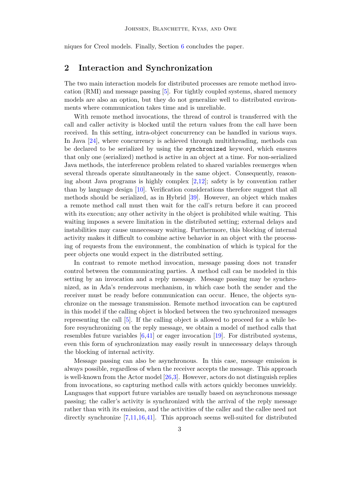niques for Creol models. Finally, Section [6](#page-11-0) concludes the paper.

### <span id="page-2-0"></span>**2 Interaction and Synchronization**

The two main interaction models for distributed processes are remote method invocation (RMI) and message passing [\[5\]](#page-12-2). For tightly coupled systems, shared memory models are also an option, but they do not generalize well to distributed environments where communication takes time and is unreliable.

With remote method invocations, the thread of control is transferred with the call and caller activity is blocked until the return values from the call have been received. In this setting, intra-object concurrency can be handled in various ways. In Java [\[24\]](#page-12-3), where concurrency is achieved through multithreading, methods can be declared to be serialized by using the synchronized keyword, which ensures that only one (serialized) method is active in an object at a time. For non-serialized Java methods, the interference problem related to shared variables reemerges when several threads operate simultaneously in the same object. Consequently, reasoning about Java programs is highly complex  $[2,12]$  $[2,12]$ ; safety is by convention rather than by language design [\[10\]](#page-12-5). Verification considerations therefore suggest that all methods should be serialized, as in Hybrid [\[39\]](#page-13-8). However, an object which makes a remote method call must then wait for the call's return before it can proceed with its execution; any other activity in the object is prohibited while waiting. This waiting imposes a severe limitation in the distributed setting; external delays and instabilities may cause unnecessary waiting. Furthermore, this blocking of internal activity makes it difficult to combine active behavior in an object with the processing of requests from the environment, the combination of which is typical for the peer objects one would expect in the distributed setting.

In contrast to remote method invocation, message passing does not transfer control between the communicating parties. A method call can be modeled in this setting by an invocation and a reply message. Message passing may be synchronized, as in Ada's rendezvous mechanism, in which case both the sender and the receiver must be ready before communication can occur. Hence, the objects synchronize on the message transmission. Remote method invocation can be captured in this model if the calling object is blocked between the two synchronized messages representing the call [\[5\]](#page-12-2). If the calling object is allowed to proceed for a while before resynchronizing on the reply message, we obtain a model of method calls that resembles future variables [\[6](#page-12-6)[,41\]](#page-13-9) or eager invocation [\[19\]](#page-12-7). For distributed systems, even this form of synchronization may easily result in unnecessary delays through the blocking of internal activity.

Message passing can also be asynchronous. In this case, message emission is always possible, regardless of when the receiver accepts the message. This approach is well-known from the Actor model [\[26,](#page-12-8)[3\]](#page-11-2). However, actors do not distinguish replies from invocations, so capturing method calls with actors quickly becomes unwieldy. Languages that support future variables are usually based on asynchronous message passing; the caller's activity is synchronized with the arrival of the reply message rather than with its emission, and the activities of the caller and the callee need not directly synchronize [\[7,](#page-12-9)[11,](#page-12-10)[16,](#page-12-11)[41\]](#page-13-9). This approach seems well-suited for distributed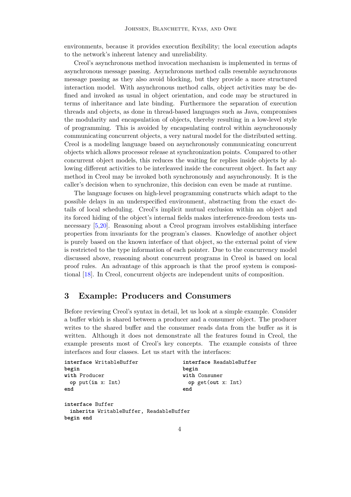environments, because it provides execution flexibility; the local execution adapts to the network's inherent latency and unreliability.

Creol's asynchronous method invocation mechanism is implemented in terms of asynchronous message passing. Asynchronous method calls resemble asynchronous message passing as they also avoid blocking, but they provide a more structured interaction model. With asynchronous method calls, object activities may be defined and invoked as usual in object orientation, and code may be structured in terms of inheritance and late binding. Furthermore the separation of execution threads and objects, as done in thread-based languages such as Java, compromises the modularity and encapsulation of objects, thereby resulting in a low-level style of programming. This is avoided by encapsulating control within asynchronously communicating concurrent objects, a very natural model for the distributed setting. Creol is a modeling language based on asynchronously communicating concurrent objects which allows processor release at synchronization points. Compared to other concurrent object models, this reduces the waiting for replies inside objects by allowing different activities to be interleaved inside the concurrent object. In fact any method in Creol may be invoked both synchronously and asynchronously. It is the caller's decision when to synchronize, this decision can even be made at runtime.

The language focuses on high-level programming constructs which adapt to the possible delays in an underspecified environment, abstracting from the exact details of local scheduling. Creol's implicit mutual exclusion within an object and its forced hiding of the object's internal fields makes interference-freedom tests unnecessary [\[5,](#page-12-2)[20\]](#page-12-12). Reasoning about a Creol program involves establishing interface properties from invariants for the program's classes. Knowledge of another object is purely based on the known interface of that object, so the external point of view is restricted to the type information of each pointer. Due to the concurrency model discussed above, reasoning about concurrent programs in Creol is based on local proof rules. An advantage of this approach is that the proof system is compositional [\[18\]](#page-12-13). In Creol, concurrent objects are independent units of composition.

## <span id="page-3-0"></span>**3 Example: Producers and Consumers**

Before reviewing Creol's syntax in detail, let us look at a simple example. Consider a buffer which is shared between a producer and a consumer object. The producer writes to the shared buffer and the consumer reads data from the buffer as it is written. Although it does not demonstrate all the features found in Creol, the example presents most of Creol's key concepts. The example consists of three interfaces and four classes. Let us start with the interfaces:

```
interface WritableBuffer
begin
with Producer
 op put(in x: Int)
end
                                        interface ReadableBuffer
                                        begin
                                        with Consumer
                                          op get(out x: Int)
                                        end
interface Buffer
 inherits WritableBuffer, ReadableBuffer
begin end
```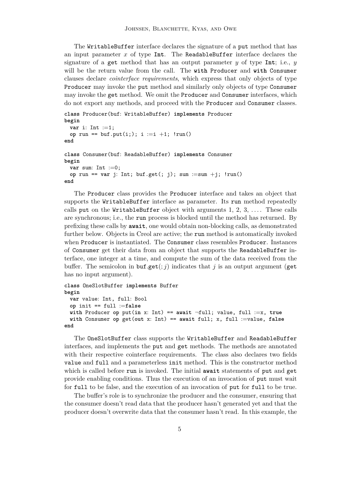The WritableBuffer interface declares the signature of a put method that has an input parameter *x* of type Int. The ReadableBuffer interface declares the signature of a get method that has an output parameter *y* of type Int; i.e., *y* will be the return value from the call. The with Producer and with Consumer clauses declare *cointerface requirements*, which express that only objects of type Producer may invoke the put method and similarly only objects of type Consumer may invoke the get method. We omit the Producer and Consumer interfaces, which do not export any methods, and proceed with the Producer and Consumer classes.

```
class Producer(buf: WritableBuffer) implements Producer
begin
 var i: Int :=1;
 op run == buf.put(i;); i :=i +1; !run()
end
class Consumer(buf: ReadableBuffer) implements Consumer
begin
 var sum: Int := 0;
 op run == var j: Int; buf.get(; j); sum := sum +j; !run()
end
```
The Producer class provides the Producer interface and takes an object that supports the WritableBuffer interface as parameter. Its run method repeatedly calls put on the WritableBuffer object with arguments  $1, 2, 3, \ldots$ . These calls are synchronous; i.e., the run process is blocked until the method has returned. By prefixing these calls by await, one would obtain non-blocking calls, as demonstrated further below. Objects in Creol are active; the run method is automatically invoked when Producer is instantiated. The Consumer class resembles Producer. Instances of Consumer get their data from an object that supports the ReadableBuffer interface, one integer at a time, and compute the sum of the data received from the buffer. The semicolon in buf<sub>.get</sub> $(j)$  indicates that *j* is an output argument (get has no input argument).

```
class OneSlotBuffer implements Buffer
begin
 var value: Int, full: Bool
 op init == full :=false
 with Producer op put(in x: Int) == await \neg full; value, full :=x, true
 with Consumer op get(out x: Int) == await full; x, full :=value, false
end
```
The OneSlotBuffer class supports the WritableBuffer and ReadableBuffer interfaces, and implements the put and get methods. The methods are annotated with their respective cointerface requirements. The class also declares two fields value and full and a parameterless init method. This is the constructor method which is called before run is invoked. The initial await statements of put and get provide enabling conditions. Thus the execution of an invocation of put must wait for full to be false, and the execution of an invocation of put for full to be true.

The buffer's role is to synchronize the producer and the consumer, ensuring that the consumer doesn't read data that the producer hasn't generated yet and that the producer doesn't overwrite data that the consumer hasn't read. In this example, the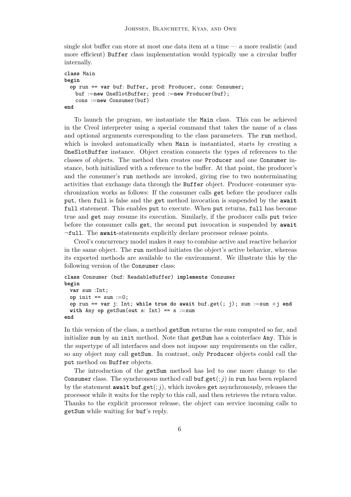single slot buffer can store at most one data item at a time — a more realistic (and more efficient) Buffer class implementation would typically use a circular buffer internally.

```
class Main
begin
 op run == var buf: Buffer, prod: Producer, cons: Consumer;
   buf :=new OneSlotBuffer; prod :=new Producer(buf);
   cons :=new Consumer(buf)
end
```
To launch the program, we instantiate the Main class. This can be achieved in the Creol interpreter using a special command that takes the name of a class and optional arguments corresponding to the class parameters. The run method, which is invoked automatically when Main is instantiated, starts by creating a OneSlotBuffer instance. Object creation connects the types of references to the classes of objects. The method then creates one Producer and one Consumer instance, both initialized with a reference to the buffer. At that point, the producer's and the consumer's run methods are invoked, giving rise to two nonterminating activities that exchange data through the Buffer object. Producer–consumer synchronization works as follows: If the consumer calls get before the producer calls put, then full is false and the get method invocation is suspended by the await full statement. This enables put to execute. When put returns, full has become true and get may resume its execution. Similarly, if the producer calls put twice before the consumer calls get, the second put invocation is suspended by await *¬*full. The await-statements explicitly declare processor release points.

Creol's concurrency model makes it easy to combine active and reactive behavior in the same object. The run method initiates the object's active behavior, whereas its exported methods are available to the environment. We illustrate this by the following version of the Consumer class:

```
class Consumer (buf: ReadableBuffer) implements Consumer
begin
 var sum :Int;
 op init == sum :=0;
 op run == var j: Int; while true do await buf.get(; j); sum := sum +j end
 with Any op getSum(out s: Int) == s := sumend
```
In this version of the class, a method getSum returns the sum computed so far, and initialize sum by an init method. Note that getSum has a cointerface Any. This is the supertype of all interfaces and does not impose any requirements on the caller, so any object may call getSum. In contrast, only Producer objects could call the put method on Buffer objects.

The introduction of the getSum method has led to one more change to the Consumer class. The synchronous method call buf*.*get(; *j*) in run has been replaced by the statement **await** buf.get( $(i)$ ), which invokes get asynchronously, releases the processor while it waits for the reply to this call, and then retrieves the return value. Thanks to the explicit processor release, the object can service incoming calls to getSum while waiting for buf's reply.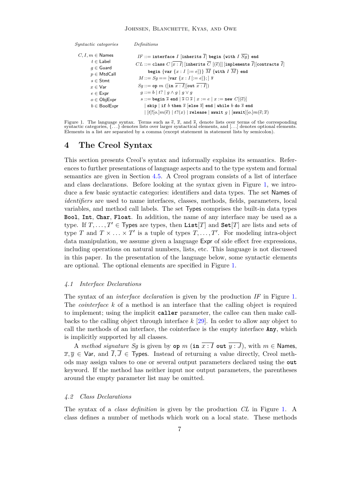```
Syntactic categories
```

| Definitions |
|-------------|
|             |

| $C, I, m \in$ Names<br>$t \in$ Label<br>$q \in$ Guard<br>$p \in MtdCall$<br>$s \in$ Stmt<br>$x \in \mathsf{Var}$<br>$e \in \mathsf{Expr}$<br>$o \in \mathsf{ObjExpr}$ | $IF ::=$ interface I [inherits I] begin {with I $Sq$ } end<br>$CL ::=$ class $C[\overline{x:I}]$ [inherits $\overline{C}$ $[(\overline{e})]$ ] [implements $\overline{I}]$ [contracts $\overline{I}]$ ]<br>begin {var $\{x: I := e\}$ } $\overline{M}$ {with $\overline{I}$ $\overline{M}$ } end<br>$M ::= Sq == [var \{x : I[:= e]\}; \exists$<br>$Sg ::=$ op m ([in $\overline{x : I}$ [out $\overline{x : I}$ ])<br>$q ::= b   t?   q \wedge q   q \vee q$<br>s ::= begin $\overline{s}$ end $ \overline{s} \square \overline{s}   x := e   x :=$ new $C[(\overline{e})]$ |
|-----------------------------------------------------------------------------------------------------------------------------------------------------------------------|------------------------------------------------------------------------------------------------------------------------------------------------------------------------------------------------------------------------------------------------------------------------------------------------------------------------------------------------------------------------------------------------------------------------------------------------------------------------------------------------------------------------------------------------------------------------------|
|                                                                                                                                                                       | $\mid [t]![o.]m(\overline{e}) \mid t?(x) \mid$ release $\mid$ await $g \mid [$ await $][o.]m(\overline{e};\overline{x})$                                                                                                                                                                                                                                                                                                                                                                                                                                                     |
| $b \in \mathsf{BoolExpr}$                                                                                                                                             | skip   if $b$ then $\overline{s}$ [else $\overline{s}$ ] end   while $b$ do $\overline{s}$ end                                                                                                                                                                                                                                                                                                                                                                                                                                                                               |

<span id="page-6-1"></span>Figure 1. The language syntax. Terms such as  $\bar{e}$ ,  $\bar{x}$ , and  $\bar{s}$ , denote lists over terms of the corresponding syntactic categories,  $\{...\}$  denotes lists over larger syntactical elements, and  $[...]$  denotes optiona Elements in a list are separated by a comma (except statement in statement lists by semicolon).

### <span id="page-6-0"></span>**4 The Creol Syntax**

This section presents Creol's syntax and informally explains its semantics. References to further presentations of language aspects and to the type system and formal semantics are given in Section [4.5.](#page-9-0) A Creol program consists of a list of interface and class declarations. Before looking at the syntax given in Figure [1,](#page-6-1) we introduce a few basic syntactic categories: identifiers and data types. The set Names of *identifiers* are used to name interfaces, classes, methods, fields, parameters, local variables, and method call labels. The set Types comprises the built-in data types Bool, Int, Char, Float. In addition, the name of any interface may be used as a type. If  $T, \ldots, T' \in \text{Types}$  are types, then List[*T*] and Set[*T*] are lists and sets of type *T* and  $T \times \ldots \times T'$  is a tuple of types  $T, \ldots, T'$ . For modeling intra-object data manipulation, we assume given a language Expr of side effect free expressions, including operations on natural numbers, lists, etc. This language is not discussed in this paper. In the presentation of the language below, some syntactic elements are optional. The optional elements are specified in Figure [1.](#page-6-1)

#### *4.1 Interface Declarations*

The syntax of an *interface declaration* is given by the production *IF* in Figure [1.](#page-6-1) The *cointerface k* of a method is an interface that the calling object is required to implement; using the implicit caller parameter, the callee can then make callbacks to the calling object through interface *k* [\[29\]](#page-13-4). In order to allow any object to call the methods of an interface, the cointerface is the empty interface Any, which is implicitly supported by all classes.

A *method signature Sq* is given by op *m* (in  $\overline{x : I}$  out  $\overline{y : J}$ ), with  $m \in$  Names,  $\overline{x}, \overline{y} \in \mathsf{Var}$ , and  $\overline{I}, \overline{J} \in \mathsf{Types}$ . Instead of returning a value directly, Creol methods may assign values to one or several output parameters declared using the out keyword. If the method has neither input nor output parameters, the parentheses around the empty parameter list may be omitted.

#### *4.2 Class Declarations*

The syntax of a *class definition* is given by the production *CL* in Figure [1.](#page-6-1) A class defines a number of methods which work on a local state. These methods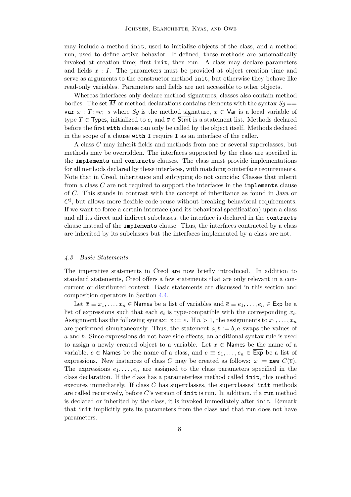may include a method init, used to initialize objects of the class, and a method run, used to define active behavior. If defined, these methods are automatically invoked at creation time; first init, then run. A class may declare parameters and fields *x* : *I*. The parameters must be provided at object creation time and serve as arguments to the constructor method init, but otherwise they behave like read-only variables. Parameters and fields are not accessible to other objects.

Whereas interfaces only declare method signatures, classes also contain method bodies. The set  $\overline{M}$  of method declarations contains elements with the syntax  $Sq ==$ var  $x : T := e$ ; *s* where *Sg* is the method signature,  $x \in \mathsf{Var}$  is a local variable of type  $T \in \mathsf{Types}$ , initialized to *e*, and  $\overline{s} \in \overline{\mathsf{Strnt}}$  is a statement list. Methods declared before the first with clause can only be called by the object itself. Methods declared in the scope of a clause with I require I as an interface of the caller.

A class *C* may inherit fields and methods from one or several superclasses, but methods may be overridden. The interfaces supported by the class are specified in the implements and contracts clauses. The class must provide implementations for all methods declared by these interfaces, with matching cointerface requirements. Note that in Creol, inheritance and subtyping do not coincide: Classes that inherit from a class *C* are not required to support the interfaces in the implements clause of *C*. This stands in contrast with the concept of inheritance as found in Java or  $C^{\sharp}$ , but allows more flexible code reuse without breaking behavioral requirements. If we want to force a certain interface (and its behavioral specification) upon a class and all its direct and indirect subclasses, the interface is declared in the contracts clause instead of the implements clause. Thus, the interfaces contracted by a class are inherited by its subclasses but the interfaces implemented by a class are not.

### *4.3 Basic Statements*

The imperative statements in Creol are now briefly introduced. In addition to standard statements, Creol offers a few statements that are only relevant in a concurrent or distributed context. Basic statements are discussed in this section and composition operators in Section [4.4.](#page-9-1)

Let  $\overline{x} \equiv x_1, \ldots, x_n \in \overline{\mathsf{Names}}$  be a list of variables and  $\overline{e} \equiv e_1, \ldots, e_n \in \overline{\mathsf{Exp}}$  be a list of expressions such that each  $e_i$  is type-compatible with the corresponding  $x_i$ . Assignment has the following syntax:  $\bar{x} := \bar{e}$ . If  $n > 1$ , the assignments to  $x_1, \ldots, x_n$ are performed simultaneously. Thus, the statement  $a, b := b, a$  swaps the values of *a* and *b*. Since expressions do not have side effects, an additional syntax rule is used to assign a newly created object to a variable. Let  $x \in$  **Names** be the name of a variable,  $c \in$  Names be the name of a class, and  $\overline{e} \equiv e_1, \ldots, e_n \in \overline{\text{Exp}}$  be a list of expressions. New instances of class *C* may be created as follows:  $x := new C(\overline{e})$ . The expressions  $e_1, \ldots, e_n$  are assigned to the class parameters specified in the class declaration. If the class has a parameterless method called init, this method executes immediately. If class *C* has superclasses, the superclasses' init methods are called recursively, before *C*'s version of init is run. In addition, if a run method is declared or inherited by the class, it is invoked immediately after init. Remark that init implicitly gets its parameters from the class and that run does not have parameters.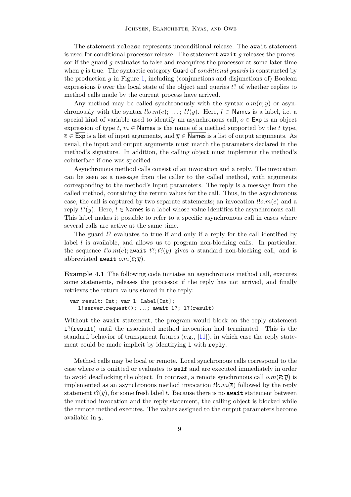The statement **release** represents unconditional release. The **await** statement is used for conditional processor release. The statement await *g* releases the processor if the guard *g* evaluates to false and reacquires the processor at some later time when *g* is true. The syntactic category Guard of *conditional guards* is constructed by the production *g* in Figure [1,](#page-6-1) including (conjunctions and disjunctions of) Boolean expressions *b* over the local state of the object and queries  $t$ ? of whether replies to method calls made by the current process have arrived.

Any method may be called synchronously with the syntax  $o.m(\overline{e}; \overline{y})$  or asynchronously with the syntax  $l!o.m(\overline{e}); \ldots; l?(\overline{y})$ . Here,  $l \in \mathsf{Names}$  is a label, i.e. a special kind of variable used to identify an asynchronous call,  $o \in \text{Exp}$  is an object expression of type  $t, m \in$  Names is the name of a method supported by the  $t$  type, *e ∈* Exp is a list of input arguments, and *y ∈* Names is a list of output arguments. As usual, the input and output arguments must match the parameters declared in the method's signature. In addition, the calling object must implement the method's cointerface if one was specified.

Asynchronous method calls consist of an invocation and a reply. The invocation can be seen as a message from the caller to the called method, with arguments corresponding to the method's input parameters. The reply is a message from the called method, containing the return values for the call. Thus, in the asynchronous case, the call is captured by two separate statements; an invocation  $l!o.m(\bar{e})$  and a reply  $l?(\overline{y})$ . Here,  $l \in \mathbb{N}$  ames is a label whose value identifies the asynchronous call. This label makes it possible to refer to a specific asynchronous call in cases where several calls are active at the same time.

The guard *l*? evaluates to true if and only if a reply for the call identified by label *l* is available, and allows us to program non-blocking calls. In particular, the sequence  $t \cdot l \cdot o.m(\overline{e})$ ; await  $t$ ?;  $t$ ?( $\overline{y}$ ) gives a standard non-blocking call, and is abbreviated **await**  $o.m(\overline{e}; \overline{y})$ .

**Example 4.1** The following code initiates an asynchronous method call, executes some statements, releases the processor if the reply has not arrived, and finally retrieves the return values stored in the reply:

var result: Int; var l: Label[Int]; l!server.request(); *. . .*; await l?; l?(result)

Without the **await** statement, the program would block on the reply statement l?(result) until the associated method invocation had terminated. This is the standard behavior of transparent futures (e.g.,  $[11]$ ), in which case the reply statement could be made implicit by identifying 1 with reply.

Method calls may be local or remote. Local synchronous calls correspond to the case where *o* is omitted or evaluates to self and are executed immediately in order to avoid deadlocking the object. In contrast, a remote synchronous call  $o.m(\overline{e}; \overline{y})$  is implemented as an asynchronous method invocation  $t|o.m(\bar{e})$  followed by the reply statement  $t^2(\overline{y})$ , for some fresh label *t*. Because there is no **await** statement between the method invocation and the reply statement, the calling object is blocked while the remote method executes. The values assigned to the output parameters become available in  $\bar{y}$ .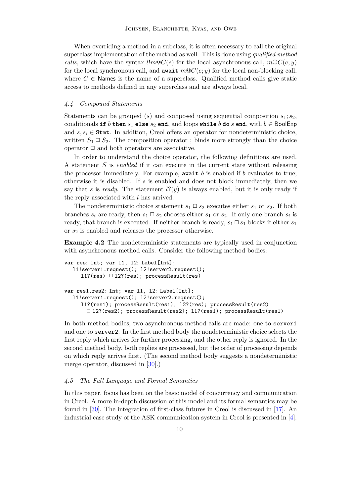When overriding a method in a subclass, it is often necessary to call the original superclass implementation of the method as well. This is done using *qualified method calls*, which have the syntax  $l!m@C(\bar{e})$  for the local asynchronous call,  $m@C(\bar{e}; \bar{y})$ for the local synchronous call, and **await**  $m \mathbb{Q}C(\bar{\epsilon}; \bar{y})$  for the local non-blocking call, where  $C \in \mathbb{N}$  are is the name of a superclass. Qualified method calls give static access to methods defined in any superclass and are always local.

#### <span id="page-9-1"></span>*4.4 Compound Statements*

Statements can be grouped (*s*) and composed using sequential composition  $s_1$ ;  $s_2$ , conditionals if *b* then  $s_1$  else  $s_2$  end, and loops while *b* do *s* end, with  $b \in \text{BoolExp}$ and  $s, s_i \in$  Stmt. In addition, Creol offers an operator for nondeterministic choice, written  $S_1 \square S_2$ . The composition operator; binds more strongly than the choice operator  $\Box$  and both operators are associative.

In order to understand the choice operator, the following definitions are used. A statement *S* is *enabled* if it can execute in the current state without releasing the processor immediately. For example, **await**  $b$  is enabled if  $b$  evaluates to true; otherwise it is disabled. If *s* is enabled and does not block immediately, then we say that *s* is *ready*. The statement  $l?(\overline{y})$  is always enabled, but it is only ready if the reply associated with *l* has arrived.

The nondeterministic choice statement  $s_1 \square s_2$  executes either  $s_1$  or  $s_2$ . If both branches  $s_i$  are ready, then  $s_1 \square s_2$  chooses either  $s_1$  or  $s_2$ . If only one branch  $s_i$  is ready, that branch is executed. If neither branch is ready,  $s_1 \square s_1$  blocks if either  $s_1$ or *s*<sup>2</sup> is enabled and releases the processor otherwise.

**Example 4.2** The nondeterministic statements are typically used in conjunction with asynchronous method calls. Consider the following method bodies:

```
var res: Int; var l1, l2: Label[Int];
  l1!server1.request(); l2!server2.request();
     11?(res) \Box 12?(res); processResult(res)
var res1,res2: Int; var l1, l2: Label[Int];
  l1!server1.request(); l2!server2.request();
     l1?(res1); processResult(res1); l2?(res); processResult(res2)
       ✷ l2?(res2); processResult(res2); l1?(res1); processResult(res1)
```
In both method bodies, two asynchronous method calls are made: one to server1 and one to server2. In the first method body the nondeterministic choice selects the first reply which arrives for further processing, and the other reply is ignored. In the second method body, both replies are processed, but the order of processing depends on which reply arrives first. (The second method body suggests a nondeterministic merge operator, discussed in [\[30\]](#page-13-1).)

#### <span id="page-9-0"></span>*4.5 The Full Language and Formal Semantics*

In this paper, focus has been on the basic model of concurrency and communication in Creol. A more in-depth discussion of this model and its formal semantics may be found in [\[30\]](#page-13-1). The integration of first-class futures in Creol is discussed in [\[17\]](#page-12-14). An industrial case study of the ASK communication system in Creol is presented in [\[4\]](#page-11-3).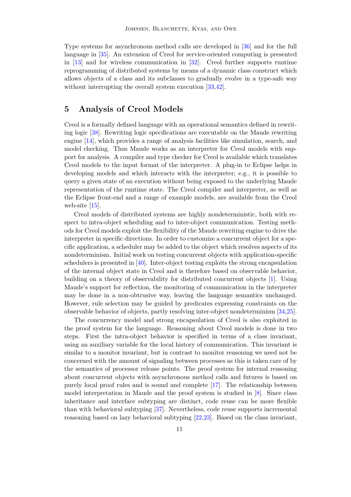Type systems for asynchronous method calls are developed in [\[36\]](#page-13-7) and for the full language in [\[35\]](#page-13-2). An extension of Creol for service-oriented computing is presented in [\[13\]](#page-12-15) and for wireless communication in [\[32\]](#page-13-10). Creol further supports runtime reprogramming of distributed systems by means of a dynamic class construct which allows objects of a class and its subclasses to gradually evolve in a type-safe way without interrupting the overall system execution [\[33](#page-13-5)[,42\]](#page-13-6).

### <span id="page-10-0"></span>**5 Analysis of Creol Models**

Creol is a formally defined language with an operational semantics defined in rewriting logic [\[38\]](#page-13-11). Rewriting logic specifications are executable on the Maude rewriting engine [\[14\]](#page-12-16), which provides a range of analysis facilities like simulation, search, and model checking. Thus Maude works as an interpreter for Creol models with support for analysis. A compiler and type checker for Creol is available which translates Creol models to the input format of the interpreter. A plug-in to Eclipse helps in developing models and which interacts with the interpreter; e.g., it is possible to query a given state of an execution without being exposed to the underlying Maude representation of the runtime state. The Creol compiler and interpreter, as well as the Eclipse front-end and a range of example models, are available from the Creol web-site [\[15\]](#page-12-17).

Creol models of distributed systems are highly nondeterministic, both with respect to intra-object scheduling and to inter-object communication. Testing methods for Creol models exploit the flexibility of the Maude rewriting engine to drive the interpreter in specific directions. In order to customize a concurrent object for a specific application, a scheduler may be added to the object which resolves aspects of its nondeterminism. Initial work on testing concurrent objects with application-specific schedulers is presented in [\[40\]](#page-13-12). Inter-object testing exploits the strong encapsulation of the internal object state in Creol and is therefore based on observable behavior, building on a theory of observability for distributed concurrent objects [\[1\]](#page-11-4). Using Maude's support for reflection, the monitoring of communication in the interpreter may be done in a non-obtrusive way, leaving the language semantics unchanged. However, rule selection may be guided by predicates expressing constraints on the observable behavior of objects, partly resolving inter-object nondeterminism [\[34,](#page-13-13)[25\]](#page-12-18).

The concurrency model and strong encapsulation of Creol is also exploited in the proof system for the language. Reasoning about Creol models is done in two steps. First the intra-object behavior is specified in terms of a class invariant, using an auxiliary variable for the local history of communication. This invariant is similar to a monitor invariant, but in contrast to monitor reasoning we need not be concerned with the amount of signaling between processes as this is taken care of by the semantics of processor release points. The proof system for internal reasoning about concurrent objects with asynchronous method calls and futures is based on purely local proof rules and is sound and complete [\[17\]](#page-12-14). The relationship between model interpretation in Maude and the proof system is studied in [\[8\]](#page-12-19). Since class inheritance and interface subtyping are distinct, code reuse can be more flexible than with behavioral subtyping [\[37\]](#page-13-14). Nevertheless, code reuse supports incremental reasoning based on lazy behavioral subtyping [\[22,](#page-12-20)[23\]](#page-12-21). Based on the class invariant,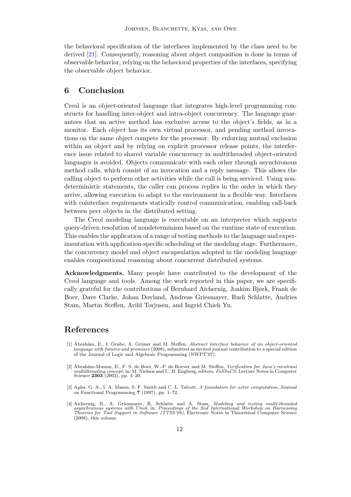the behavioral specification of the interfaces implemented by the class need to be derived [\[21\]](#page-12-22). Consequently, reasoning about object composition is done in terms of observable behavior, relying on the behavioral properties of the interfaces, specifying the observable object behavior.

## <span id="page-11-0"></span>**6 Conclusion**

Creol is an object-oriented language that integrates high-level programming constructs for handling inter-object and intra-object concurrency. The language guarantees that an active method has exclusive access to the object's fields, as in a monitor. Each object has its own virtual processor, and pending method invocations on the same object compete for the processor. By enforcing mutual exclusion within an object and by relying on explicit processor release points, the interference issue related to shared variable concurrency in multithreaded object-oriented languages is avoided. Objects communicate with each other through asynchronous method calls, which consist of an invocation and a reply message. This allows the calling object to perform other activities while the call is being serviced. Using nondeterministic statements, the caller can process replies in the order in which they arrive, allowing execution to adapt to the environment in a flexible way. Interfaces with cointerface requirements statically control communication, enabling call-back between peer objects in the distributed setting.

The Creol modeling language is executable on an interpreter which supports query-driven resolution of nondeterminism based on the runtime state of execution. This enables the application of a range of testing methods to the language and experimentation with application-specific scheduling at the modeling stage. Furthermore, the concurrency model and object encapsulation adopted in the modeling language enables compositional reasoning about concurrent distributed systems.

**Acknowledgments.** Many people have contributed to the development of the Creol language and tools. Among the work reported in this paper, we are specifically grateful for the contributions of Bernhard Aichernig, Joakim Bjørk, Frank de Boer, Dave Clarke, Johan Dovland, Andreas Griesmayer, Rudi Schlatte, Andries Stam, Martin Steffen, Arild Torjusen, and Ingrid Chieh Yu.

### **References**

- <span id="page-11-4"></span>[1] Ábrahám, E., I. Grabe, A. Grüner and M. Steffen, *Abstract interface behavior of an object-oriented language with futures and promises* (2008), submitted as invited journal contribution to a special edition of the Journal of Logic and Algebraic Programming (NWPT'07).
- <span id="page-11-1"></span>[2] Ábrahám-Mumm, E., F. S. de Boer, W.-P. de Roever and M. Steffen, *Verification for Java's reentrant multithreading concept*, in: M. Nielsen and U. H. Engberg, editors, *FoSSaCS*, Lecture Notes in Computer Science **2303** (2002), pp. 4–20.
- <span id="page-11-2"></span>[3] Agha, G. A., I. A. Mason, S. F. Smith and C. L. Talcott, *A foundation for actor computation*, Journal on Functional Programming **7** (1997), pp. 1–72.
- <span id="page-11-3"></span>[4] Aichernig, B., A. Griesmayer, R. Schlatte and A. Stam, *Modeling and testing multi-threaded* asynchronous systems with Creol, in: Proceedings of the 2nd International Workshop on Harnessing Theories for Tool Support in (2008), this volume.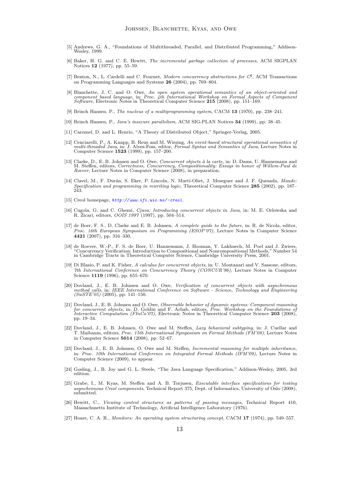- <span id="page-12-2"></span>[5] Andrews, G. A., "Foundations of Multithreaded, Parallel, and Distributed Programming," Addison-Wesley, 1999.
- <span id="page-12-6"></span>[6] Baker, H. G. and C. E. Hewitt, *The incremental garbage collection of processes*, ACM SIGPLAN Notices **12** (1977), pp. 55–59.
- <span id="page-12-9"></span>[7] Benton, N., L. Cardelli and C. Fournet, *Modern concurrency abstractions for C]* , ACM Transactions on Programming Languages and Systems **26** (2004), pp. 769–804.
- <span id="page-12-19"></span>[8] Blanchette, J. C. and O. Owe, An open system operational semantics of an object-oriented and component based language, in: Proc. 4th International Workshop on Formal Aspects of Component Software, Electronic Notes in T
- <span id="page-12-0"></span>[9] Brinch Hansen, P., *The nucleus of a multiprogramming system*, CACM **13** (1970), pp. 238–241.
- <span id="page-12-5"></span>[10] Brinch Hansen, P., *Java's insecure parallelism*, ACM SIG-PLAN Notices **34** (1999), pp. 38–45.
- <span id="page-12-10"></span>[11] Caromel, D. and L. Henrio, "A Theory of Distributed Object," Springer-Verlag, 2005.
- <span id="page-12-4"></span>[12] Cenciarelli, P., A. Knapp, B. Reus and M. Wirsing, An event-based structural operational semantics of multi-threaded Java, in: J. Alves-Foss, editor, Formal Syntax and Semantics of Java, Lecture Notes in Computer Scie
- <span id="page-12-15"></span>[13] Clarke, D., E. B. Johnsen and O. Owe, *Concurrent objects à la carte*, in: D. Dams, U. Hannemann and M. Steffen, editors, *Correctness, Concurrency, Compositionality: Essays in honor of Willem-Paul de Roever*, Lecture Notes in Computer Science (2008), in preparation.
- <span id="page-12-16"></span>[14] Clavel, M., F. Durán, S. Eker, P. Lincoln, N. Martí-Oliet, J. Meseguer and J. F. Quesada, *Maude: Specification and programming in rewriting logic*, Theoretical Computer Science **285** (2002), pp. 187– 243.
- <span id="page-12-17"></span>[15] Creol homepage, *[http:// www.ifi.uio.no/ ~creol](http://www.ifi.uio.no/~creol)*.
- <span id="page-12-11"></span>[16] Cugola, G. and C. Ghezzi, *Cjava: Introducing concurrent objects in Java*, in: M. E. Orlowska and R. Zicari, editors, *OOIS 1997* (1997), pp. 504–514.
- <span id="page-12-14"></span>[17] de Boer, F. S., D. Clarke and E. B. Johnsen, *A complete guide to the future*, in: R. de Nicola, editor, *Proc. 16th European Symposium on Programming (ESOP'07)*, Lecture Notes in Computer Science **4421** (2007), pp. 316–330.
- <span id="page-12-13"></span>[18] de Roever, W.-P., F. S. de Boer, U. Hannemann, J. Hooman, Y. Lakhnech, M. Poel and J. Zwiers, "Concurrency Verification: Introduction to Compositional and Noncompositional Methods," Number 54 in Cambridge Tracts in Theoretical Computer Science, Cambridge University Press, 2001.
- <span id="page-12-7"></span>[19] Di Blasio, P. and K. Fisher, *A calculus for concurrent objects*, in: U. Montanari and V. Sassone, editors, *7th International Conference on Concurrency Theory (CONCUR'96)*, Lecture Notes in Computer Science **1119** (1996), pp. 655–670.
- <span id="page-12-12"></span>[20] Dovland, J., E. B. Johnsen and O. Owe, *Verification of concurrent objects with asynchronous method calls*, in: *IEEE International Conference on Software - Science, Technology and Engineering (SwSTE'05)* (2005), pp. 141–150.
- <span id="page-12-22"></span>[21] Dovland, J., E. B. Johnsen and O. Owe, *Observable behavior of dynamic systems: Component reasoning for concurrent objects*, in: D. Goldin and F. Arbab, editors, *Proc. Workshop on the Foundations of Interactive Computation (FInCo'07)*, Electronic Notes in Theoretical Computer Science **203** (2008), pp. 19–34.
- <span id="page-12-20"></span>[22] Dovland, J., E. B. Johnsen, O. Owe and M. Steffen, *Lazy behavioral subtyping*, in: J. Cuellar and T. Maibaum, editors, *Proc. 15th International Symposium on Formal Methods (FM'08)*, Lecture Notes in Computer Science **5014** (2008), pp. 52–67.
- <span id="page-12-21"></span>[23] Dovland, J., E. B. Johnsen, O. Owe and M. Steffen, *Incremental reasoning for multiple inheritance*, in: *Proc. 10th International Conference on Integrated Formal Methods (IFM'09)*, Lecture Notes in Computer Science (2009), to appear.
- <span id="page-12-3"></span>[24] Gosling, J., B. Joy and G. L. Steele, "The Java Language Specification," Addison-Wesley, 2005, 3rd edition.
- <span id="page-12-18"></span>[25] Grabe, I., M. Kyas, M. Steffen and A. B. Torjusen, *Executable interface specifications for testing asynchronous Creol components*, Technical Report 375, Dept. of Informatics, University of Oslo (2008), submitted.
- <span id="page-12-8"></span>[26] Hewitt, C., *Viewing control structures as patterns of passing messages*, Technical Report 410, Massachusetts Institute of Technology, Artificial Intelligence Laboratory (1976).
- <span id="page-12-1"></span>[27] Hoare, C. A. R., *Monitors: An operating system structuring concept*, CACM **17** (1974), pp. 549–557.